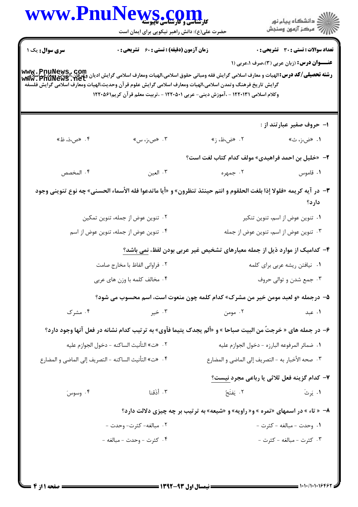| <b>سری سوال :</b> یک ۱         | <b>زمان آزمون (دقیقه) : تستی : 60 ٪ تشریحی : 0</b>    |                                                                                                                                                                                                                                                                                                                                                               |                                                                                          |  |
|--------------------------------|-------------------------------------------------------|---------------------------------------------------------------------------------------------------------------------------------------------------------------------------------------------------------------------------------------------------------------------------------------------------------------------------------------------------------------|------------------------------------------------------------------------------------------|--|
|                                |                                                       | www. PnuNews , Com<br>سلامی این این این الهیات و معارف اسلامی گرایش فقه ومبانی حقوق اسلامی،الهیات ومعارف اسلامی گرایش ادیان ویل این ا<br>Www , PnuNews , net<br>گرايش تاريخ فرهنگ وتمدن اسلامى،الهيات ومعارف اسلامى گرايش علوم قرآن وحديث،الهيات ومعارف اسلامى گرايش فلسفه<br>وكلام اسلامي ١٢٢٠١٣١ - ،آموزش ديني- عربي ١٢٢٠٥٠١ - ،تربيت معلم قرآن كريم١٢٢٠٥٦١ | تعداد سوالات : تستى : 30 قشريحى : 0<br><b>عنـــوان درس:</b> (زبان عربی (۳)،صرف ۱،عربی (۱ |  |
|                                |                                                       |                                                                                                                                                                                                                                                                                                                                                               | ۱- حروف صفیر عبارتند از :                                                                |  |
| ۰۴ «ص،ذ، ظ»                    | ۰۳ «ص،ز، س»                                           | ۰۲ «ض،ظ، ز»                                                                                                                                                                                                                                                                                                                                                   | ۰۱ «ض،ز، ث»                                                                              |  |
|                                |                                                       | ۲- «خلیل بن احمد فراهیدی» مولف کدام کتاب لغت است؟                                                                                                                                                                                                                                                                                                             |                                                                                          |  |
| ۴. المخصص                      | ۰۳ العين                                              | ۰۲ جمهره                                                                                                                                                                                                                                                                                                                                                      | ۰۱ قاموس                                                                                 |  |
|                                |                                                       | ٣- در آيه كريمه «فلولا إذا بلغت الحلقوم و انتم حينئذ تنظرون» و «أيا ماتدعوا فله الأسماء الحسنى» چه نوع تنويني وجود                                                                                                                                                                                                                                            | دارد؟                                                                                    |  |
|                                | ۰۲ تنوین عوض از جمله، تنوین تمکین                     |                                                                                                                                                                                                                                                                                                                                                               | ۰۱ تنوین عوض از اسم، تنوین تنکیر                                                         |  |
|                                | ۰۴ تنوین عوض از جمله، تنوین عوض از اسم                |                                                                                                                                                                                                                                                                                                                                                               | ۰۳ تنوین عوض از اسم، تنوین عوض از جمله                                                   |  |
|                                |                                                       | ۴– کدامیک از موارد ذیل از جمله معیارهای تشخیص غیر عربی بودن لفظ، نمی باشد؟                                                                                                                                                                                                                                                                                    |                                                                                          |  |
| ٠٢ فراواني الفاظ با مخارج صامت |                                                       | ۰۱ نیافتن ریشه عربی برای کلمه                                                                                                                                                                                                                                                                                                                                 |                                                                                          |  |
| ۰۴ مخالف کلمه با وزن های عربی  |                                                       | ۰۳ جمع شدن و توالي حروف                                                                                                                                                                                                                                                                                                                                       |                                                                                          |  |
|                                |                                                       | ۵- درجمله «و لعبد مومن خیر من مشرک» کدام کلمه چون منعوت است، اسم محسوب می شود؟                                                                                                                                                                                                                                                                                |                                                                                          |  |
| ۰۴ مشرک                        | ۰۳ خیر                                                | ۰۲ مومن                                                                                                                                                                                                                                                                                                                                                       | ۰۱ عبد                                                                                   |  |
|                                |                                                       | ۶- در جمله های « خرجتٌ من البیت صباحا » و «ألم یجدک یتیما فآوی» به ترتیب کدام نشانه در فعل آنها وجود دارد؟                                                                                                                                                                                                                                                    |                                                                                          |  |
|                                | ٢ .   «ت» التأنيث الساكنه – دخول الجوازم عليه         | ٠١. ضمائر المرفوعه البارزه - دخول الجوازم عليه                                                                                                                                                                                                                                                                                                                |                                                                                          |  |
|                                | ۰۴ «ت» التأنيث الساكنه – التصريف إلى الماضي و المضارع | ۰۳ صحه الأخبار به - التصريف إلى الماضي و المضارع                                                                                                                                                                                                                                                                                                              |                                                                                          |  |
|                                |                                                       | ٧- كدام گزينه فعل ثلاثي يا رباعي مجرد نيست؟                                                                                                                                                                                                                                                                                                                   |                                                                                          |  |
| ۰۴ وسوسَ                       | ۰۳ أذَقنا                                             | ۰۲ يَفتَحُ                                                                                                                                                                                                                                                                                                                                                    | ۰۱ يَرثَ                                                                                 |  |
|                                |                                                       | ۸- « تاء » در اسمهای «تمره » و« راویه» و «شیعه» به ترتیب بر چه چیزی دلالت دارد؟                                                                                                                                                                                                                                                                               |                                                                                          |  |
| ٢ . مبالغه- كثرت- وحدت -       |                                                       |                                                                                                                                                                                                                                                                                                                                                               | ١. وحدت - مبالغه - كثرت -                                                                |  |
|                                | ۰۴ کثرت - وحدت - مبالغه -                             |                                                                                                                                                                                                                                                                                                                                                               | ۰۳ کثرت - مبالغه - کثرت -                                                                |  |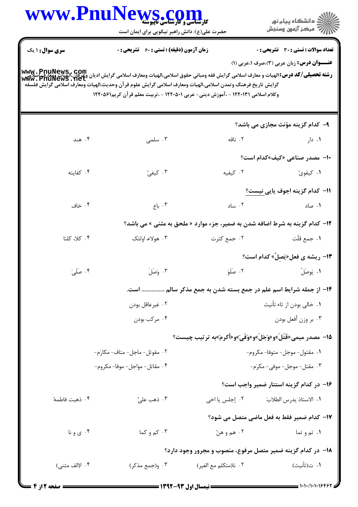|                        | WWW.PnuNews.com<br>حضرت علی(ع): دانش راهبر نیکویی برای ایمان است                                                                                                                                                                                                                                                                                               |                                                                              | ڪ دانشڪاه پيا <sub>م</sub> نور<br>ر∕ <sup>7</sup> مرڪز آزمون وسنڊش                                |
|------------------------|----------------------------------------------------------------------------------------------------------------------------------------------------------------------------------------------------------------------------------------------------------------------------------------------------------------------------------------------------------------|------------------------------------------------------------------------------|---------------------------------------------------------------------------------------------------|
| <b>سری سوال : ۱ یک</b> | <b>زمان آزمون (دقیقه) : تستی : 60 ٪ تشریحی : 0</b>                                                                                                                                                                                                                                                                                                             |                                                                              | <b>تعداد سوالات : تستی : 30 ٪ تشریحی : 0</b><br><b>عنـــوان درس:</b> زبان عربی (۳)،صرف ۰،عربی (۱) |
|                        | www . PnuNews , Com<br>سلامی اسلامی اسلامی کلا درس:الهیات و معارف اسلامی گرایش فقه ومبانی حقوق اسلامی،الهیات ومعارف اسلامی گرایش ادیان<br>Www . PnuNews . het<br>گرايش تاريخ فرهنگ وتمدن اسلامي،الهيات ومعارف اسلامي گرايش علوم قرآن وحديث،الهيات ومعارف اسلامي گرايش فلسفه<br>وكلام اسلامي ١٢٢٠١٣١ - ،آموزش ديني- عربي ١٢٢٠٥٠١ - ،تربيت معلم قرآن كريم١٢٢٠٥٤١ |                                                                              |                                                                                                   |
|                        |                                                                                                                                                                                                                                                                                                                                                                |                                                                              | ۹- کدام گزینه مؤنث مجازی می باشد؟                                                                 |
| ۰۴ هند                 | ۰۳ سلمی                                                                                                                                                                                                                                                                                                                                                        | ۰۲ ناقه                                                                      | ۰۱ دار                                                                                            |
|                        |                                                                                                                                                                                                                                                                                                                                                                |                                                                              | <b>۱۰</b> - مصدر صناعی «کیف»کدام است؟                                                             |
| ۰۴ کفایته              | ۰۳ کیفیّ                                                                                                                                                                                                                                                                                                                                                       | ۰۲ کیفیه                                                                     | ۰۱ کیفویّ                                                                                         |
|                        |                                                                                                                                                                                                                                                                                                                                                                |                                                                              | 11– كدام گزينه اجوف يايي نيست؟                                                                    |
| ۰۴ خاف                 | ۰۳ باع                                                                                                                                                                                                                                                                                                                                                         | ۰۲ ساد                                                                       | ۰۱ صاد                                                                                            |
|                        |                                                                                                                                                                                                                                                                                                                                                                | ۱۲- کدام گزینه به شرط اضافه شدن به ضمیر، جزء موارد « ملحق به مثنی » می باشد؟ |                                                                                                   |
| ۰۴ کلا، کلتا           | ۰۳ هولاء، اولئک                                                                                                                                                                                                                                                                                                                                                | ۰۲ جمع کثرت                                                                  | ٠١. جمع قلّت                                                                                      |
|                        |                                                                                                                                                                                                                                                                                                                                                                |                                                                              | <b>۱۳</b> - ریشه ی فعل«یَصِلٌ» کدام است؟                                                          |
| ۰۴ صَلَىَ              | ۰۳ وَصَلَ                                                                                                                                                                                                                                                                                                                                                      | ۰۲ صَلَوَ                                                                    | ١. يَوصَلُ                                                                                        |
|                        |                                                                                                                                                                                                                                                                                                                                                                | ۱۴- از جمله شرایط اسم علم در جمع بسته شدن به جمع مذکر سالم  است.             |                                                                                                   |
|                        | ۰۲ غیرعاقل بودن                                                                                                                                                                                                                                                                                                                                                |                                                                              | ٠١ خالي بودن از تاء تأنيث                                                                         |
|                        | ۰۴ مرکب بودن                                                                                                                                                                                                                                                                                                                                                   |                                                                              | ۰۳ بر وزن أفعل بودن                                                                               |
|                        |                                                                                                                                                                                                                                                                                                                                                                | 15- مصدر میمی«قَتَلَ»و«وَجَلَ»و«وَفَیَ»و«أکرم»به ترتیب چیست؟                 |                                                                                                   |
|                        | ٢. مقوتل-ماجل-متاف-مكارَم-                                                                                                                                                                                                                                                                                                                                     |                                                                              | ۰۱ مقتول- موجل- متوفا- مكروم-                                                                     |
|                        | ۴. مقاتل- مواجل- موفا- مكروم-                                                                                                                                                                                                                                                                                                                                  |                                                                              | ۳. مقتل- موجل- موفی- مکرَم-                                                                       |
|                        |                                                                                                                                                                                                                                                                                                                                                                |                                                                              | ۱۶– در کدام گزینه استتار ضمیر واجب است؟                                                           |
| ۰۴ ذهبت فاطمهٔ         | ۰۳ ذهب عليّ                                                                                                                                                                                                                                                                                                                                                    | ۰۲ إجلس يا اخى                                                               | ٠١. الاستاذ يدرس الطلابَ                                                                          |
|                        |                                                                                                                                                                                                                                                                                                                                                                |                                                                              | 17- كدام ضمير فقط به فعل ماضي متصل مي شود؟                                                        |
| ۰۴ ی و نا              | ۰۳ کم و کما                                                                                                                                                                                                                                                                                                                                                    | ٢. هم و هنّ                                                                  | ۱. تم و تما                                                                                       |
|                        |                                                                                                                                                                                                                                                                                                                                                                | ۱۸– در کدام گزینه ضمیر متصل مرفوع، منصوب و مجرور وجود دارد؟                  |                                                                                                   |
| ۰۴ ا(الف مثنی)         | ۰۳ و(جمع مذکر)                                                                                                                                                                                                                                                                                                                                                 | ٢. نا(متكلم مع الغير)                                                        | ۰۱ ت(تأنيث)                                                                                       |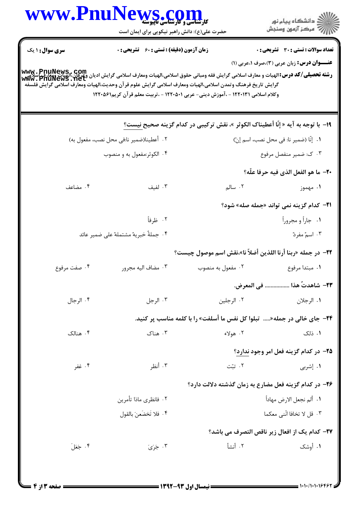|                        | www.Pnu<br><b>کل ساله کل کل کل کل کل</b><br>کارشناسی و کارشناسی ناپیوسته<br>حضرت علی(ع): دانش راهبر نیکویی برای ایمان است |                                                                                                                                                                                                                                                                                                                                                                                           | ≦ دانشڪاه پيام نور<br>ج‴ مرڪز آزمون وسنڊش         |  |
|------------------------|---------------------------------------------------------------------------------------------------------------------------|-------------------------------------------------------------------------------------------------------------------------------------------------------------------------------------------------------------------------------------------------------------------------------------------------------------------------------------------------------------------------------------------|---------------------------------------------------|--|
| <b>سری سوال : ۱ یک</b> | <b>زمان آزمون (دقیقه) : تستی : 60 ٪ تشریحی : 0</b>                                                                        |                                                                                                                                                                                                                                                                                                                                                                                           | <b>تعداد سوالات : تستی : 30 ٪ تشریحی : 0</b>      |  |
|                        |                                                                                                                           | <b>www . PnuNews , com</b><br><b>رشته تحصیلی/کد درس:</b> الهیات و معارف اسلامی گرایش فقه ومبانی حقوق اسلامی،الهیات ومعارف اسلامی گرایش ادیان وعرفان،الهیات ویعارف<br>Www . PnuNewS . Net<br>گرايش تاريخ فرهنگ وتمدن اسلامى،الهيات ومعارف اسلامى گرايش علوم قرآن وحديث،الهيات ومعارف اسلامى گرايش فلسفه<br>وكلام اسلامي ١٢٢٠١٣١ - ،آموزش ديني- عربي ١٢٢٠٥٠١ - ،تربيت معلم قرآن كريم١٢٢٠٥٤١ | <b>عنـــوان درس:</b> زبان عربی (۳)،صرف ۱،عربی (۱) |  |
|                        |                                                                                                                           | ١٩- با توجه به آيه « إنَّا أعطيناك الكوثر »، نقش تركيبي در كدام گزينه صحيح نيست؟                                                                                                                                                                                                                                                                                                          |                                                   |  |
|                        | ٢. أعطينا(ضمير نا:في محل نصب، مفعول به)                                                                                   |                                                                                                                                                                                                                                                                                                                                                                                           | ٠١. إنّا (ضمير نا: في محل نصب، اسم إنّ)           |  |
|                        | ۰۴ الکوثر:مفعول به و منصوب                                                                                                |                                                                                                                                                                                                                                                                                                                                                                                           | ۰۳ ک: ضمیر منفصل مرفوع                            |  |
|                        |                                                                                                                           |                                                                                                                                                                                                                                                                                                                                                                                           | ٢٠– ما هو الفعل الذي فيه حرفا علّه؟               |  |
| ۰۴ مضاعف               | ۰۳ لفیف                                                                                                                   | ۲. سالم                                                                                                                                                                                                                                                                                                                                                                                   | ۱. مهموز                                          |  |
|                        |                                                                                                                           |                                                                                                                                                                                                                                                                                                                                                                                           | <b>٣١-</b> كدام گزينه نمي تواند «جمله صله» شود؟   |  |
|                        | ۰۲ ظرفاً                                                                                                                  |                                                                                                                                                                                                                                                                                                                                                                                           | ۰۱ جاراً و مجروراً                                |  |
|                        | ۰۴ جملهٔ خبریهٔ مشتملهٔ علی ضمیر عائد                                                                                     |                                                                                                                                                                                                                                                                                                                                                                                           | ۰۳ اسمٌ مفردٌ                                     |  |
|                        |                                                                                                                           | <b>٢٢</b> - در جمله «ربنا أرنا اللذين أضلاّ نا»،نقش اسم موصول چيست؟                                                                                                                                                                                                                                                                                                                       |                                                   |  |
| ۰۴ صفت مرفوع           | ۰۳ مضاف اليه مجرور                                                                                                        | ۰۲ مفعول به منصوب                                                                                                                                                                                                                                                                                                                                                                         | ۰۱ مبتدا مرفوع                                    |  |
|                        |                                                                                                                           |                                                                                                                                                                                                                                                                                                                                                                                           | ٢٣- شاهدتٌ هذا  في المعرض.                        |  |
| ۰۴ الرجال              | ۰۳ الرجل                                                                                                                  | ۰۲ الرجلين                                                                                                                                                                                                                                                                                                                                                                                | ١. الرجلان                                        |  |
|                        |                                                                                                                           | <b>3۴-</b> جای خالی در جمله« تبلوا کل نفس ما أسلفت» را با کلمه مناسب پر کنید.                                                                                                                                                                                                                                                                                                             |                                                   |  |
| ۰۴ هنالک               | ۰۳ هناک                                                                                                                   | ۰۲ هولاء                                                                                                                                                                                                                                                                                                                                                                                  | ۰۱ ذلک                                            |  |
|                        |                                                                                                                           |                                                                                                                                                                                                                                                                                                                                                                                           | ۲۵– در کدام گزینه فعل امر وجود ندارد؟             |  |
| ۰۴ غفر                 | ۰۳ أنظر                                                                                                                   | ۰۲ تبّت                                                                                                                                                                                                                                                                                                                                                                                   | ۰۱ إشربي                                          |  |
|                        |                                                                                                                           | ۲۶– در کدام گزینه فعل مضارع به زمان گذشته دلالت دارد؟                                                                                                                                                                                                                                                                                                                                     |                                                   |  |
|                        | ٠٢ فانظري ماذا تأمرين                                                                                                     |                                                                                                                                                                                                                                                                                                                                                                                           | ٠١. ألم نجعل الارض مهاداً                         |  |
| ٠۴ فلا تَخضَعنَ بالقول |                                                                                                                           |                                                                                                                                                                                                                                                                                                                                                                                           | ٠٣ قل لا تخافا انّنى معكما                        |  |
|                        |                                                                                                                           |                                                                                                                                                                                                                                                                                                                                                                                           | ٢٧- كدام يك از افعال زير ناقص التصرف مي باشد؟     |  |
| ۰۴ جَعَلَ              | ۰۳ جَرَى                                                                                                                  | ٢. أنشأ                                                                                                                                                                                                                                                                                                                                                                                   | ۱. أوشک                                           |  |